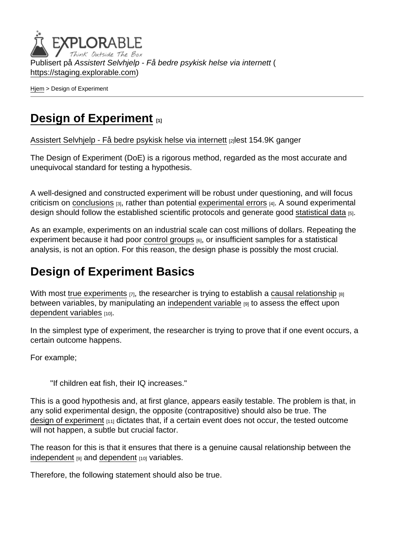Publisert på Assistert Selvhjelp - Få bedre psykisk helse via internett ( <https://staging.explorable.com>)

[Hjem](https://staging.explorable.com/) > Design of Experiment

## [Design of Experiment](https://staging.explorable.com/design-of-experiment)  $_{11}$

[Assistert Selvhjelp - Få bedre psykisk helse via internett](https://staging.explorable.com/en) [2]lest 154.9K ganger

The Design of Experiment (DoE) is a rigorous method, regarded as the most accurate and unequivocal standard for testing a hypothesis.

A well-designed and constructed experiment will be robust under questioning, and will focus criticism on [conclusions](https://staging.explorable.com/drawing-conclusions) [3], rather than potential [experimental errors](https://staging.explorable.com/type-I-error) [4]. A sound experimental design should follow the established scientific protocols and generate good [statistical data](https://staging.explorable.com/statistical-data-sets) [5].

As an example, experiments on an industrial scale can cost millions of dollars. Repeating the experiment because it had poor [control groups](https://staging.explorable.com/scientific-control-group) [6], or insufficient samples for a statistical analysis, is not an option. For this reason, the design phase is possibly the most crucial.

## Design of Experiment Basics

With most [true experiments](https://staging.explorable.com/true-experimental-design)  $_{[7]}$ , the researcher is trying to establish a [causal relationship](https://staging.explorable.com/correlation-and-causation)  $_{[8]}$ between variables, by manipulating an [independent variable](https://staging.explorable.com/independent-variable) [9] to assess the effect upon [dependent variables](https://staging.explorable.com/dependent-variable) [10].

In the simplest type of experiment, the researcher is trying to prove that if one event occurs, a certain outcome happens.

For example;

"If children eat fish, their IQ increases."

This is a good hypothesis and, at first glance, appears easily testable. The problem is that, in any solid experimental design, the opposite (contrapositive) should also be true. The [design of experiment](http://en.wikipedia.org/wiki/Experimental_design)  $[11]$  dictates that, if a certain event does not occur, the tested outcome will not happen, a subtle but crucial factor.

The reason for this is that it ensures that there is a genuine causal relationship between the [independent](https://staging.explorable.com/independent-variable) [9] and [dependent](https://staging.explorable.com/dependent-variable) [10] variables.

Therefore, the following statement should also be true.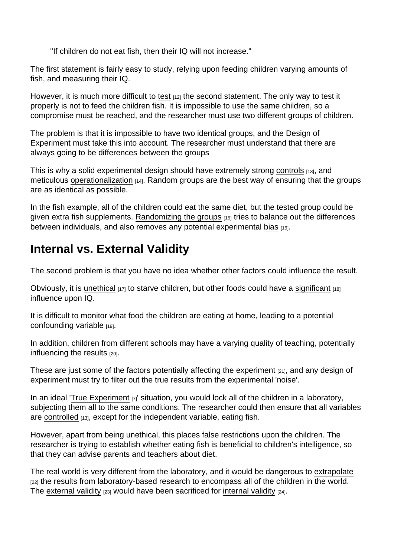"If children do not eat fish, then their IQ will not increase."

The first statement is fairly easy to study, relying upon feeding children varying amounts of fish, and measuring their IQ.

However, it is much more difficult to [test](https://staging.explorable.com/testability)  $_{[12]}$  the second statement. The only way to test it properly is not to feed the children fish. It is impossible to use the same children, so a compromise must be reached, and the researcher must use two different groups of children.

The problem is that it is impossible to have two identical groups, and the Design of Experiment must take this into account. The researcher must understand that there are always going to be differences between the groups

This is why a solid experimental design should have extremely strong [controls](https://staging.explorable.com/controlled-variables) [13], and meticulous [operationalization](https://staging.explorable.com/operationalization)  $[14]$ . Random groups are the best way of ensuring that the groups are as identical as possible.

In the fish example, all of the children could eat the same diet, but the tested group could be given extra fish supplements. [Randomizing the groups](https://staging.explorable.com/simple-random-sampling) [15] tries to balance out the differences between individuals, and also removes any potential experimental [bias](https://staging.explorable.com/research-bias) [16].

## Internal vs. External Validity

The second problem is that you have no idea whether other factors could influence the result.

Obviously, it is [unethical](https://staging.explorable.com/ethics-in-research)  $[17]$  to starve children, but other foods could have a [significant](https://staging.explorable.com/significance-test)  $[18]$ influence upon IQ.

It is difficult to monitor what food the children are eating at home, leading to a potential [confounding variable](https://staging.explorable.com/confounding-variables) [19].

In addition, children from different schools may have a varying quality of teaching, potentially influencing the [results](https://staging.explorable.com/statistically-significant-results) [20].

These are just some of the factors potentially affecting the [experiment](https://staging.explorable.com/conducting-an-experiment)  $[21]$ , and any design of experiment must try to filter out the true results from the experimental 'noise'.

In an ideal '[True Experiment](https://staging.explorable.com/true-experimental-design)  $[7]$ ' situation, you would lock all of the children in a laboratory, subjecting them all to the same conditions. The researcher could then ensure that all variables are [controlled](https://staging.explorable.com/controlled-variables) [13], except for the independent variable, eating fish.

However, apart from being unethical, this places false restrictions upon the children. The researcher is trying to establish whether eating fish is beneficial to children's intelligence, so that they can advise parents and teachers about diet.

The real world is very different from the laboratory, and it would be dangerous to [extrapolate](https://staging.explorable.com/what-is-generalization) [22] the results from laboratory-based research to encompass all of the children in the world. The [external validity](https://staging.explorable.com/external-validity)  $[23]$  would have been sacrificed for [internal validity](https://staging.explorable.com/internal-validity)  $[24]$ .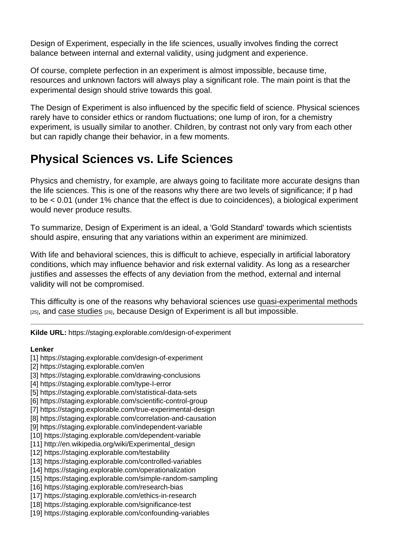Design of Experiment, especially in the life sciences, usually involves finding the correct balance between internal and external validity, using judgment and experience.

Of course, complete perfection in an experiment is almost impossible, because time, resources and unknown factors will always play a significant role. The main point is that the experimental design should strive towards this goal.

The Design of Experiment is also influenced by the specific field of science. Physical sciences rarely have to consider ethics or random fluctuations; one lump of iron, for a chemistry experiment, is usually similar to another. Children, by contrast not only vary from each other but can rapidly change their behavior, in a few moments.

## Physical Sciences vs. Life Sciences

Physics and chemistry, for example, are always going to facilitate more accurate designs than the life sciences. This is one of the reasons why there are two levels of significance; if p had to be < 0.01 (under 1% chance that the effect is due to coincidences), a biological experiment would never produce results.

To summarize, Design of Experiment is an ideal, a 'Gold Standard' towards which scientists should aspire, ensuring that any variations within an experiment are minimized.

With life and behavioral sciences, this is difficult to achieve, especially in artificial laboratory conditions, which may influence behavior and risk external validity. As long as a researcher justifies and assesses the effects of any deviation from the method, external and internal validity will not be compromised.

This difficulty is one of the reasons why behavioral sciences use [quasi-experimental methods](https://staging.explorable.com/quasi-experimental-design)  $[25]$ , and [case studies](https://staging.explorable.com/case-study-research-design)  $[26]$ , because Design of Experiment is all but impossible.

Kilde URL: https://staging.explorable.com/design-of-experiment

Lenker

- [1] https://staging.explorable.com/design-of-experiment
- [2] https://staging.explorable.com/en
- [3] https://staging.explorable.com/drawing-conclusions
- [4] https://staging.explorable.com/type-I-error
- [5] https://staging.explorable.com/statistical-data-sets
- [6] https://staging.explorable.com/scientific-control-group
- [7] https://staging.explorable.com/true-experimental-design
- [8] https://staging.explorable.com/correlation-and-causation
- [9] https://staging.explorable.com/independent-variable
- [10] https://staging.explorable.com/dependent-variable
- [11] http://en.wikipedia.org/wiki/Experimental\_design
- [12] https://staging.explorable.com/testability
- [13] https://staging.explorable.com/controlled-variables
- [14] https://staging.explorable.com/operationalization
- [15] https://staging.explorable.com/simple-random-sampling
- [16] https://staging.explorable.com/research-bias
- [17] https://staging.explorable.com/ethics-in-research
- [18] https://staging.explorable.com/significance-test
- [19] https://staging.explorable.com/confounding-variables